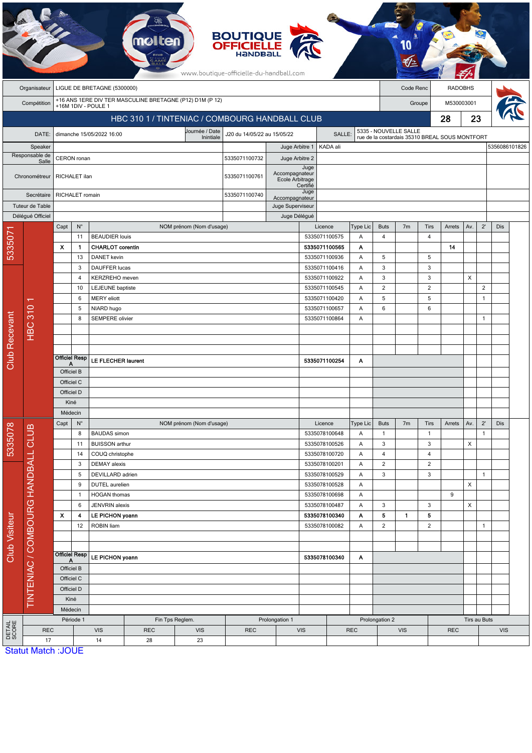|                      |                                    |                                          |                                                        |                                              |                                                |                                                          | <b>BOUTIQUE</b><br><b>OFFICIELLE</b><br><b>HANDBA</b><br>www.boutique-officielle-du-handball.com |                                     |                                |                                |                |                          |                                                |                      |              |                |              |               |  |  |
|----------------------|------------------------------------|------------------------------------------|--------------------------------------------------------|----------------------------------------------|------------------------------------------------|----------------------------------------------------------|--------------------------------------------------------------------------------------------------|-------------------------------------|--------------------------------|--------------------------------|----------------|--------------------------|------------------------------------------------|----------------------|--------------|----------------|--------------|---------------|--|--|
|                      | Organisateur                       | LIGUE DE BRETAGNE (5300000)<br>Code Renc |                                                        |                                              |                                                |                                                          |                                                                                                  |                                     |                                |                                |                |                          | <b>RADOBHS</b>                                 |                      |              |                |              |               |  |  |
|                      | Compétition                        |                                          |                                                        |                                              |                                                | +16 ANS 1ERE DIV TER MASCULINE BRETAGNE (P12) D1M (P 12) |                                                                                                  |                                     |                                |                                |                |                          |                                                | M530003001<br>Groupe |              |                |              |               |  |  |
|                      |                                    |                                          |                                                        | +16M 1DIV - POULE 1                          | HBC 310 1 / TINTENIAC / COMBOURG HANDBALL CLUB |                                                          |                                                                                                  |                                     |                                |                                | 28             |                          |                                                | 23                   |              |                |              |               |  |  |
|                      |                                    |                                          |                                                        |                                              |                                                |                                                          |                                                                                                  |                                     | 5335 - NOUVELLE SALLE          |                                |                |                          |                                                |                      |              |                |              |               |  |  |
|                      | DATE:                              |                                          |                                                        | dimanche 15/05/2022 16:00                    |                                                | Journée / Date<br>Inintiale                              | J20 du 14/05/22 au 15/05/22                                                                      | SALLE:                              |                                |                                |                |                          | rue de la costardais 35310 BREAL SOUS MONTFORT |                      |              |                |              |               |  |  |
|                      | Speaker<br>Responsable de          |                                          |                                                        |                                              |                                                |                                                          |                                                                                                  | Juge Arbitre 1                      |                                | KADA ali                       |                |                          |                                                |                      |              |                |              | 5356086101826 |  |  |
|                      | Salle                              |                                          | CERON ronan                                            |                                              |                                                |                                                          | 5335071100732                                                                                    | Juge Arbitre 2<br>Juge              |                                |                                |                |                          |                                                |                      |              |                |              |               |  |  |
|                      | Chronométreur                      |                                          | RICHALET ilan                                          |                                              |                                                | 5335071100761                                            | Accompagnateur<br>Ecole Arbitrage<br>Certifié                                                    |                                     |                                |                                |                |                          |                                                |                      |              |                |              |               |  |  |
|                      | Secrétaire                         |                                          | RICHALET romain                                        |                                              |                                                |                                                          | 5335071100740                                                                                    | Accompagnateur                      | Juge                           |                                |                |                          |                                                |                      |              |                |              |               |  |  |
|                      | Tuteur de Table                    |                                          |                                                        |                                              |                                                |                                                          |                                                                                                  | Juge Superviseur                    |                                |                                |                |                          |                                                |                      |              |                |              |               |  |  |
|                      | Délégué Officiel                   |                                          | $N^{\circ}$                                            |                                              |                                                |                                                          |                                                                                                  | Juge Délégué                        |                                | Licence                        |                | <b>Buts</b>              | 7 <sub>m</sub>                                 | Tirs                 |              |                | $2^{\prime}$ | <b>Dis</b>    |  |  |
| 5335071              |                                    | Capt                                     | 11                                                     | <b>BEAUDIER louis</b>                        |                                                | NOM prénom (Nom d'usage)                                 |                                                                                                  |                                     |                                | 5335071100575                  | Type Lic<br>Α  | $\overline{4}$           |                                                | 4                    | Arrets       | Av.            |              |               |  |  |
|                      |                                    | Х                                        | $\mathbf{1}$                                           | <b>CHARLOT</b> corentin                      |                                                |                                                          |                                                                                                  |                                     |                                | 5335071100565                  | Α              |                          |                                                |                      | 14           |                |              |               |  |  |
|                      |                                    |                                          | 13                                                     | <b>DANET</b> kevin                           |                                                |                                                          |                                                                                                  |                                     |                                | 5335071100936                  | Α              | 5                        |                                                | 5                    |              |                |              |               |  |  |
|                      | <b>HBC 310</b>                     |                                          | 3                                                      | DAUFFER lucas                                |                                                |                                                          |                                                                                                  |                                     |                                | 5335071100416                  | Α              | $\sqrt{3}$               |                                                | 3                    |              |                |              |               |  |  |
|                      |                                    |                                          | $\overline{4}$                                         | KERZREHO meven                               |                                                |                                                          |                                                                                                  |                                     |                                | 5335071100922                  | Α              | $\sqrt{3}$               |                                                | 3                    |              | $\pmb{\times}$ |              |               |  |  |
|                      |                                    | 10<br>6                                  |                                                        | LEJEUNE baptiste                             |                                                |                                                          |                                                                                                  | 5335071100545<br>5335071100420<br>Α |                                | Α                              | $\overline{2}$ |                          | $\overline{2}$                                 |                      |              | $\overline{2}$ |              |               |  |  |
|                      |                                    |                                          |                                                        | <b>MERY</b> eliott                           |                                                |                                                          |                                                                                                  |                                     |                                |                                | 5              |                          | 5                                              |                      |              | $\mathbf{1}$   |              |               |  |  |
|                      |                                    |                                          | 5                                                      | NIARD hugo<br><b>SEMPERE</b> olivier         |                                                |                                                          |                                                                                                  |                                     | 5335071100657<br>5335071100864 |                                | Α              | 6                        |                                                | 6                    |              |                |              |               |  |  |
|                      |                                    |                                          | 8                                                      |                                              |                                                |                                                          |                                                                                                  |                                     | A                              |                                |                |                          |                                                |                      |              |                | 1            |               |  |  |
|                      |                                    |                                          |                                                        |                                              |                                                |                                                          |                                                                                                  |                                     |                                |                                |                |                          |                                                |                      |              |                |              |               |  |  |
|                      |                                    |                                          |                                                        |                                              |                                                |                                                          |                                                                                                  |                                     |                                |                                |                |                          |                                                |                      |              |                |              |               |  |  |
| <b>Club Recevant</b> |                                    |                                          | <b>Officiel Resp</b><br><b>LE FLECHER laurent</b><br>Α |                                              |                                                | 5335071100254                                            |                                                                                                  |                                     | Α                              |                                |                |                          |                                                |                      |              |                |              |               |  |  |
|                      |                                    |                                          | Officiel B                                             |                                              |                                                |                                                          |                                                                                                  |                                     |                                |                                |                |                          |                                                |                      |              |                |              |               |  |  |
|                      |                                    | Officiel C                               |                                                        |                                              |                                                |                                                          |                                                                                                  |                                     |                                |                                |                |                          |                                                |                      |              |                |              |               |  |  |
|                      |                                    | Officiel D                               |                                                        |                                              |                                                |                                                          |                                                                                                  |                                     |                                |                                |                |                          |                                                |                      |              |                |              |               |  |  |
|                      |                                    | Kiné                                     |                                                        |                                              |                                                |                                                          |                                                                                                  |                                     |                                |                                |                |                          |                                                |                      |              |                |              |               |  |  |
|                      |                                    | Médecin                                  |                                                        |                                              |                                                |                                                          |                                                                                                  |                                     |                                |                                |                |                          |                                                |                      |              |                |              |               |  |  |
|                      |                                    | Capt                                     | $N^{\circ}$                                            |                                              |                                                | NOM prénom (Nom d'usage)                                 |                                                                                                  |                                     |                                | Licence                        | Type Lic       | <b>Buts</b>              | 7 <sub>m</sub>                                 | Tirs                 | Arrets       | Av.            | $2^{\prime}$ | Dis           |  |  |
| 5335078              |                                    |                                          | 8<br>11                                                | <b>BAUDAS</b> simon<br><b>BUISSON</b> arthur |                                                |                                                          |                                                                                                  |                                     |                                | 5335078100648<br>5335078100526 | A<br>Α         | $\mathbf{1}$<br>3        |                                                | $\mathbf{1}$<br>3    |              | X              | $\mathbf{1}$ |               |  |  |
|                      |                                    |                                          | 14                                                     | COUQ christophe                              |                                                |                                                          |                                                                                                  |                                     |                                | 5335078100720                  | A              | $\overline{4}$           |                                                | 4                    |              |                |              |               |  |  |
|                      |                                    |                                          | 3                                                      | <b>DEMAY</b> alexis                          |                                                |                                                          |                                                                                                  |                                     |                                | 5335078100201                  | A              | $\overline{2}$           |                                                | $\overline{c}$       |              |                |              |               |  |  |
|                      |                                    |                                          | 5                                                      | DEVILLARD adrien                             |                                                |                                                          |                                                                                                  |                                     |                                | 5335078100529                  | Α              | 3                        |                                                | 3                    |              |                | $\mathbf{1}$ |               |  |  |
|                      |                                    |                                          | 9                                                      | DUTEL aurelien                               |                                                |                                                          |                                                                                                  |                                     |                                | 5335078100528                  | A              |                          |                                                |                      |              | X              |              |               |  |  |
|                      | TINTENIAC / COMBOURG HANDBALL CLUB |                                          | $\mathbf{1}$<br><b>HOGAN</b> thomas                    |                                              |                                                | 5335078100698                                            |                                                                                                  | Α                                   |                                |                                |                | 9                        |                                                |                      |              |                |              |               |  |  |
|                      |                                    |                                          | 6                                                      | JENVRIN alexis                               |                                                |                                                          |                                                                                                  |                                     | 5335078100487                  |                                | A              | 3                        |                                                | 3                    |              | $\pmb{\times}$ |              |               |  |  |
|                      |                                    | X                                        | 4                                                      | LE PICHON yoann                              |                                                |                                                          |                                                                                                  |                                     | 5335078100340                  |                                | A              | 5                        | 1.                                             | 5                    |              |                |              |               |  |  |
|                      |                                    | 12                                       |                                                        | ROBIN liam                                   |                                                |                                                          | 5335078100082<br>Α                                                                               |                                     |                                | $\sqrt{2}$                     |                | $\overline{c}$           |                                                |                      | $\mathbf{1}$ |                |              |               |  |  |
| <b>Club Visiteur</b> |                                    |                                          |                                                        |                                              |                                                |                                                          |                                                                                                  |                                     |                                |                                |                |                          |                                                |                      |              |                |              |               |  |  |
|                      |                                    |                                          | <b>Officiel Resp</b>                                   | LE PICHON yoann                              |                                                |                                                          |                                                                                                  | 5335078100340<br>A                  |                                |                                |                |                          |                                                |                      |              |                |              |               |  |  |
|                      |                                    | A<br>Officiel B                          |                                                        |                                              |                                                |                                                          |                                                                                                  |                                     |                                |                                |                |                          |                                                |                      |              |                |              |               |  |  |
|                      |                                    |                                          | Officiel C                                             |                                              |                                                |                                                          |                                                                                                  |                                     |                                |                                |                |                          |                                                |                      |              |                |              |               |  |  |
|                      |                                    | Officiel D                               |                                                        |                                              |                                                |                                                          |                                                                                                  |                                     |                                |                                |                |                          |                                                |                      |              |                |              |               |  |  |
|                      |                                    |                                          | Kiné                                                   |                                              |                                                |                                                          |                                                                                                  |                                     |                                |                                |                |                          |                                                |                      |              |                |              |               |  |  |
|                      |                                    |                                          | Médecin                                                |                                              |                                                |                                                          |                                                                                                  |                                     |                                |                                |                |                          |                                                |                      |              |                |              |               |  |  |
|                      |                                    |                                          | Période 1                                              |                                              | Fin Tps Reglem.                                | Prolongation 1                                           |                                                                                                  |                                     |                                | Prolongation 2                 |                |                          |                                                | Tirs au Buts         |              |                |              |               |  |  |
| DETAIL<br>SCORE      | <b>REC</b><br>17                   |                                          |                                                        | <b>VIS</b><br>14                             | <b>REC</b><br>28                               | <b>VIS</b><br>23                                         | <b>REC</b>                                                                                       |                                     | <b>VIS</b>                     |                                | <b>REC</b>     | <b>VIS</b><br><b>REC</b> |                                                |                      |              | <b>VIS</b>     |              |               |  |  |
|                      | <b>Statut Match: JOUE</b>          |                                          |                                                        |                                              |                                                |                                                          |                                                                                                  |                                     |                                |                                |                |                          |                                                |                      |              |                |              |               |  |  |